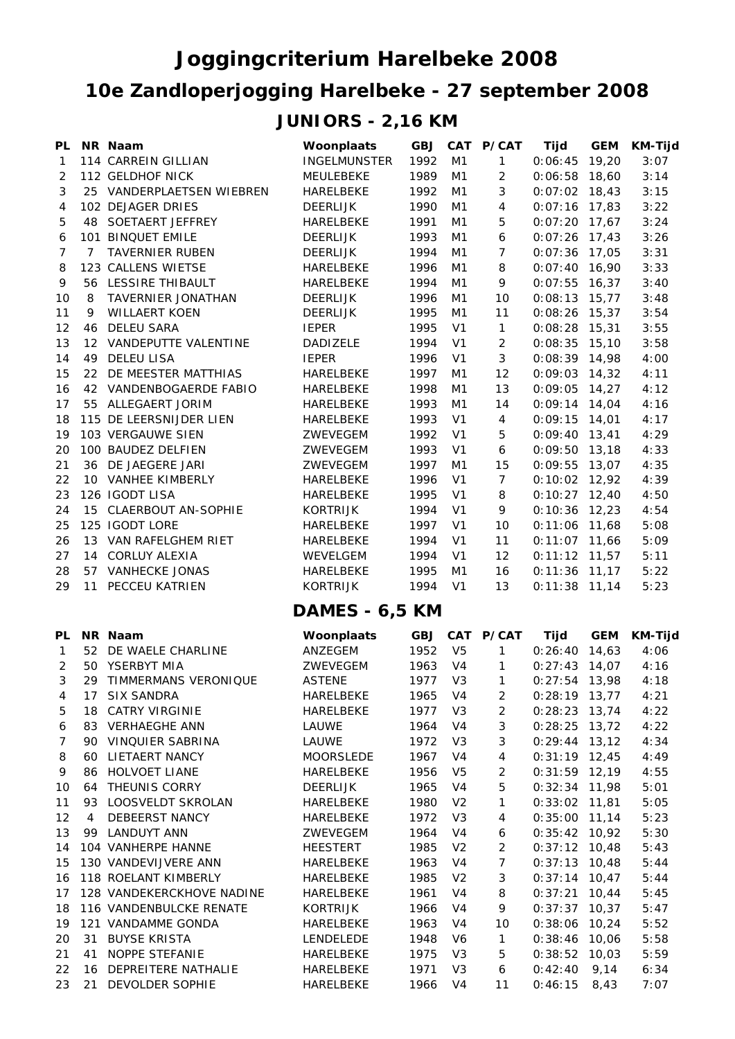## **10e Zandloperjogging Harelbeke - 27 september 2008 Joggingcriterium Harelbeke 2008 JUNIORS - 2,16 KM**

| PL             |                | NR Naam                   | Woonplaats            | <b>GBJ</b> |                | CAT P/CAT      | Tijd            | <b>GEM</b> | <b>KM-Tijd</b> |
|----------------|----------------|---------------------------|-----------------------|------------|----------------|----------------|-----------------|------------|----------------|
| 1              |                | 114 CARREIN GILLIAN       | <b>INGELMUNSTER</b>   | 1992       | M1             | 1              | 0:06:45         | 19,20      | 3:07           |
| $\overline{c}$ |                | 112 GELDHOF NICK          | MEULEBEKE             | 1989       | M <sub>1</sub> | $\overline{c}$ | 0:06:58         | 18,60      | 3:14           |
| 3              |                | 25 VANDERPLAETSEN WIEBREN | HARELBEKE             | 1992       | M1             | 3              | 0:07:02         | 18,43      | 3:15           |
| 4              |                | 102 DEJAGER DRIES         | <b>DEERLIJK</b>       | 1990       | M1             | 4              | 0:07:16         | 17,83      | 3:22           |
| 5              | 48             | SOETAERT JEFFREY          | HARELBEKE             | 1991       | M <sub>1</sub> | 5              | 0:07:20         | 17,67      | 3:24           |
| 6              |                | 101 BINQUET EMILE         | <b>DEERLIJK</b>       | 1993       | M1             | 6              | 0:07:26         | 17,43      | 3:26           |
| 7              | $\overline{7}$ | <b>TAVERNIER RUBEN</b>    | <b>DEERLIJK</b>       | 1994       | M1             | $\overline{7}$ | 0:07:36         | 17,05      | 3:31           |
| 8              |                | 123 CALLENS WIETSE        | HARELBEKE             | 1996       | M1             | 8              | 0:07:40         | 16,90      | 3:33           |
| 9              |                | 56 LESSIRE THIBAULT       | HARELBEKE             | 1994       | M <sub>1</sub> | 9              | 0:07:55         | 16,37      | 3:40           |
| 10             | 8              | TAVERNIER JONATHAN        | <b>DEERLIJK</b>       | 1996       | M1             | 10             | 0:08:13         | 15,77      | 3:48           |
| 11             | 9              | <b>WILLAERT KOEN</b>      | <b>DEERLIJK</b>       | 1995       | M1             | 11             | 0:08:26         | 15,37      | 3:54           |
| 12             | 46             | <b>DELEU SARA</b>         | <b>IEPER</b>          | 1995       | V <sub>1</sub> | $\mathbf{1}$   | 0:08:28         | 15,31      | 3:55           |
| 13             |                | 12 VANDEPUTTE VALENTINE   | DADIZELE              | 1994       | V <sub>1</sub> | $\overline{2}$ | 0:08:35         | 15,10      | 3:58           |
| 14             |                | 49 DELEU LISA             | <b>IEPER</b>          | 1996       | V <sub>1</sub> | 3              | 0:08:39         | 14,98      | 4:00           |
| 15             |                | 22 DE MEESTER MATTHIAS    | HARELBEKE             | 1997       | M1             | 12             | 0:09:03         | 14,32      | 4:11           |
| 16             |                | 42 VANDENBOGAERDE FABIO   | HARELBEKE             | 1998       | M <sub>1</sub> | 13             | 0:09:05         | 14,27      | 4:12           |
| 17             |                | 55 ALLEGAERT JORIM        | <b>HARELBEKE</b>      | 1993       | M1             | 14             | 0:09:14         | 14,04      | 4:16           |
| 18             |                | 115 DE LEERSNIJDER LIEN   | HARELBEKE             | 1993       | V <sub>1</sub> | $\overline{4}$ | 0:09:15         | 14,01      | 4:17           |
| 19             |                | 103 VERGAUWE SIEN         | ZWEVEGEM              | 1992       | V <sub>1</sub> | 5              | 0:09:40         | 13,41      | 4:29           |
| 20             |                | 100 BAUDEZ DELFIEN        | ZWEVEGEM              | 1993       | V <sub>1</sub> | 6              | 0:09:50         | 13,18      | 4:33           |
| 21             |                | 36 DE JAEGERE JARI        | ZWEVEGEM              | 1997       | M1             | 15             | 0:09:55         | 13,07      | 4:35           |
| 22             |                | 10 VANHEE KIMBERLY        | HARELBEKE             | 1996       | V <sub>1</sub> | $\overline{7}$ | 0:10:02         | 12,92      | 4:39           |
| 23             |                | 126 IGODT LISA            | HARELBEKE             | 1995       | V <sub>1</sub> | 8              | 0:10:27         | 12,40      | 4:50           |
| 24             | 15             | CLAERBOUT AN-SOPHIE       | <b>KORTRIJK</b>       | 1994       | V <sub>1</sub> | 9              | 0:10:36         | 12,23      | 4:54           |
| 25             |                | 125 IGODT LORE            | HARELBEKE             | 1997       | V <sub>1</sub> | 10             | 0:11:06         | 11,68      | 5:08           |
| 26             | 13             | VAN RAFELGHEM RIET        | HARELBEKE             | 1994       | V <sub>1</sub> | 11             | 0:11:07         | 11,66      | 5:09           |
| 27             |                | 14 CORLUY ALEXIA          | WEVELGEM              | 1994       | V <sub>1</sub> | 12             | 0:11:12         | 11,57      | 5:11           |
| 28             |                | 57 VANHECKE JONAS         | HARELBEKE             | 1995       | M1             | 16             | 0:11:36         | 11,17      | 5:22           |
| 29             | 11             | PECCEU KATRIEN            | <b>KORTRIJK</b>       | 1994       | V <sub>1</sub> | 13             | $0:11:38$ 11,14 |            | 5:23           |
|                |                |                           | <b>DAMES - 6,5 KM</b> |            |                |                |                 |            |                |
| PL             |                | NR Naam                   | Woonplaats            | <b>GBJ</b> |                | CAT P/CAT      | <b>Tijd</b>     | <b>GEM</b> | <b>KM-Tijd</b> |
| $\mathbf{1}$   | 52             | DE WAELE CHARLINE         | ANZEGEM               | 1952       | V <sub>5</sub> | 1              | 0:26:40         | 14,63      | 4:06           |
| 2              | 50             | YSERBYT MIA               | ZWEVEGEM              | 1963       | V <sub>4</sub> | 1              | 0:27:43         | 14,07      | 4:16           |
| 3              | 29             | TIMMERMANS VERONIQUE      | <b>ASTENE</b>         | 1977       | V3             | 1              | $0:27:54$ 13,98 |            | 4:18           |
| 4              |                | 17 SIX SANDRA             | HARELBEKE             | 1965       | V4             | 2              | $0:28:19$ 13,77 |            | 4:21           |
| 5              | 18             | CATRY VIRGINIE            | HARELBEKE             | 1977       | V <sub>3</sub> | 2              | $0:28:23$ 13,74 |            | 4:22           |
| 6              |                | 83 VERHAEGHE ANN          | LAUWE                 | 1964       | V4             | 3              | $0:28:25$ 13,72 |            | 4:22           |
| 7              |                | 90 VINQUIER SABRINA       | LAUWE                 | 1972       | V <sub>3</sub> | 3              | $0:29:44$ 13,12 |            | 4:34           |
| 8              |                | 60 LIETAERT NANCY         | <b>MOORSLEDE</b>      | 1967       | V <sub>4</sub> | 4              | $0:31:19$ 12,45 |            | 4:49           |
| 9              |                | 86 HOLVOET LIANE          | HARELBEKE             | 1956       | V <sub>5</sub> | 2              | $0:31:59$ 12,19 |            | 4:55           |
| 10             | 64             | THEUNIS CORRY             | <b>DEERLIJK</b>       | 1965       | V4             | 5              | $0:32:34$ 11,98 |            | 5:01           |
| 11             | 93             | LOOSVELDT SKROLAN         | HARELBEKE             | 1980       | V <sub>2</sub> | 1              | $0:33:02$ 11,81 |            | 5:05           |
| 12             | 4              | DEBEERST NANCY            | HARELBEKE             | 1972       | V3             | 4              | $0:35:00$ 11,14 |            | 5:23           |
| 13             |                | 99 LANDUYT ANN            | ZWEVEGEM              | 1964       | V4             | 6              | $0:35:42$ 10,92 |            | 5:30           |
| 14             |                | 104 VANHERPE HANNE        | <b>HEESTERT</b>       | 1985       | V <sub>2</sub> | 2              | $0:37:12$ 10,48 |            | 5:43           |
| 15             |                | 130 VANDEVIJVERE ANN      | HARELBEKE             | 1963       | V4             | 7              | $0:37:13$ 10,48 |            | 5:44           |
| 16             |                | 118 ROELANT KIMBERLY      | HARELBEKE             | 1985       | V <sub>2</sub> | 3              | $0:37:14$ 10,47 |            | 5:44           |
| 17             |                | 128 VANDEKERCKHOVE NADINE | HARELBEKE             | 1961       | V <sub>4</sub> | 8              | 0:37:21         | 10,44      | 5:45           |
| 18             |                | 116 VANDENBULCKE RENATE   | KORTRIJK              | 1966       | V <sub>4</sub> | 9              | $0:37:37$ 10,37 |            | 5:47           |
|                |                | 19 121 VANDAMME GONDA     | HARELBEKE             | 1963       | V <sub>4</sub> | 10             | $0:38:06$ 10,24 |            | 5:52           |

20 31 BUYSE KRISTA LENDELEDE 1948 V6 1 0:38:46 10,06 5:58 21 41 NOPPE STEFANIE HARELBEKE 1975 V3 5 0:38:52 10,03 5:59 22 16 DEPREITERE NATHALIE HARELBEKE 1971 V3 6 0:42:40 9,14 6:34 23 21 DEVOLDER SOPHIE HARELBEKE 1966 V4 11 0:46:15 8,43 7:07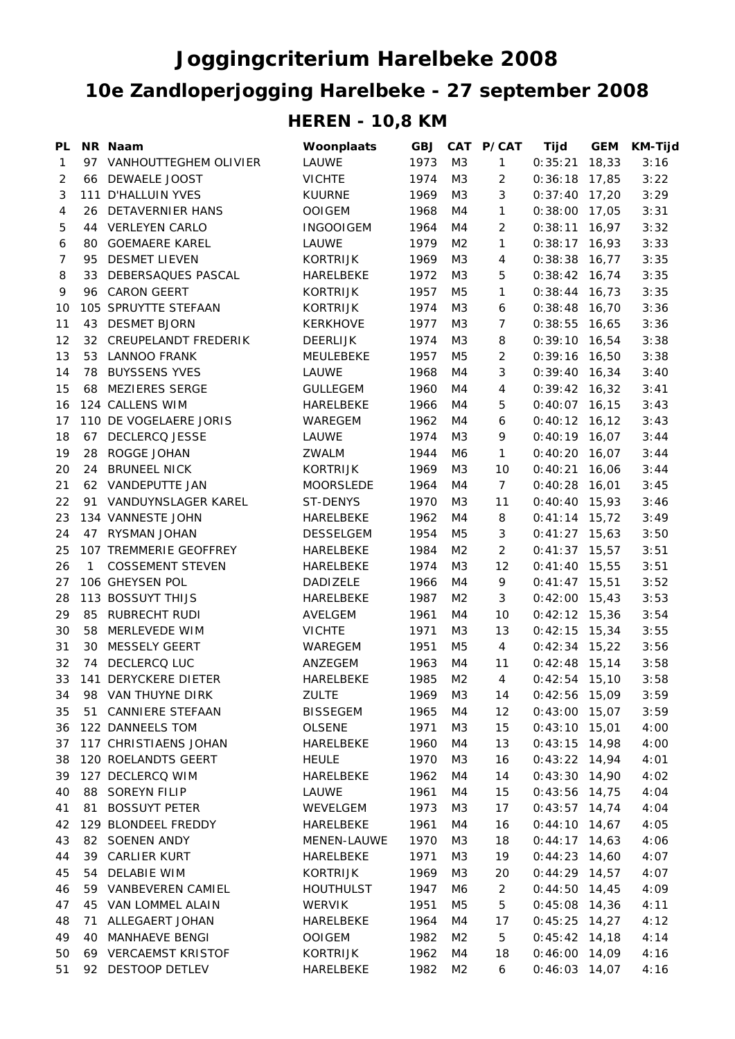## **Joggingcriterium Harelbeke 2008 10e Zandloperjogging Harelbeke - 27 september 2008 HEREN - 10,8 KM**

| PL           |    | NR Naam                     | Woonplaats       | <b>GBJ</b> |                | CAT P/CAT      | Tijd            | <b>GEM</b> | <b>KM-Tijd</b> |
|--------------|----|-----------------------------|------------------|------------|----------------|----------------|-----------------|------------|----------------|
| $\mathbf{1}$ |    | 97 VANHOUTTEGHEM OLIVIER    | LAUWE            | 1973       | M3             | $\mathbf{1}$   | 0:35:21         | 18,33      | 3:16           |
| 2            |    | 66 DEWAELE JOOST            | <b>VICHTE</b>    | 1974       | M3             | $\overline{c}$ | 0:36:18         | 17,85      | 3:22           |
| 3            |    | 111 D'HALLUIN YVES          | <b>KUURNE</b>    | 1969       | M3             | 3              | 0:37:40         | 17,20      | 3:29           |
| 4            | 26 | <b>DETAVERNIER HANS</b>     | <b>OOIGEM</b>    | 1968       | M4             | 1              | 0:38:00         | 17,05      | 3:31           |
| 5            | 44 | <b>VERLEYEN CARLO</b>       | <b>INGOOIGEM</b> | 1964       | M4             | $\overline{2}$ | 0:38:11         | 16,97      | 3:32           |
| 6            | 80 | <b>GOEMAERE KAREL</b>       | LAUWE            | 1979       | M <sub>2</sub> | 1              | 0:38:17         | 16,93      | 3:33           |
| 7            | 95 | <b>DESMET LIEVEN</b>        | <b>KORTRIJK</b>  | 1969       | M3             | 4              | 0:38:38         | 16,77      | 3:35           |
| 8            | 33 | DEBERSAQUES PASCAL          | HARELBEKE        | 1972       | M3             | 5              | 0:38:42         | 16,74      | 3:35           |
| 9            | 96 | <b>CARON GEERT</b>          | <b>KORTRIJK</b>  | 1957       | M <sub>5</sub> | 1              | 0:38:44         | 16,73      | 3:35           |
| 10           |    | 105 SPRUYTTE STEFAAN        | KORTRIJK         | 1974       | M3             | 6              | 0:38:48         | 16,70      | 3:36           |
| 11           | 43 | <b>DESMET BJORN</b>         | <b>KERKHOVE</b>  | 1977       | M3             | $\overline{7}$ | 0:38:55         | 16,65      | 3:36           |
| 12           | 32 | CREUPELANDT FREDERIK        | <b>DEERLIJK</b>  | 1974       | M3             | 8              | 0:39:10         | 16,54      | 3:38           |
| 13           | 53 | LANNOO FRANK                | MEULEBEKE        | 1957       | M <sub>5</sub> | $\overline{c}$ | 0:39:16         | 16,50      | 3:38           |
| 14           | 78 | <b>BUYSSENS YVES</b>        | LAUWE            | 1968       | M4             | 3              | 0:39:40         | 16,34      | 3:40           |
| 15           | 68 | <b>MEZIERES SERGE</b>       | <b>GULLEGEM</b>  | 1960       | M4             | 4              | 0:39:42         | 16,32      | 3:41           |
| 16           |    | 124 CALLENS WIM             | HARELBEKE        | 1966       | M4             | 5              | 0:40:07         | 16,15      | 3:43           |
| 17           |    | 110 DE VOGELAERE JORIS      | WAREGEM          | 1962       | M4             | 6              | 0:40:12         | 16, 12     | 3:43           |
| 18           | 67 | <b>DECLERCQ JESSE</b>       | LAUWE            | 1974       | M3             | 9              | $0:40:19$ 16,07 |            | 3:44           |
| 19           | 28 | ROGGE JOHAN                 | ZWALM            | 1944       | M6             | $\mathbf{1}$   | 0:40:20         | 16,07      | 3:44           |
| 20           | 24 | <b>BRUNEEL NICK</b>         | <b>KORTRIJK</b>  | 1969       | M3             | 10             | 0:40:21         | 16,06      | 3:44           |
| 21           |    | 62 VANDEPUTTE JAN           | <b>MOORSLEDE</b> | 1964       | M4             | $\overline{7}$ | 0:40:28         | 16,01      | 3:45           |
| 22           |    | 91 VANDUYNSLAGER KAREL      | ST-DENYS         | 1970       | M <sub>3</sub> | 11             | 0:40:40         | 15,93      | 3:46           |
| 23           |    | 134 VANNESTE JOHN           | HARELBEKE        | 1962       | M4             | 8              | $0:41:14$ 15,72 |            | 3:49           |
| 24           |    | 47 RYSMAN JOHAN             | DESSELGEM        | 1954       | M <sub>5</sub> | 3              | $0:41:27$ 15,63 |            | 3:50           |
| 25           |    | 107 TREMMERIE GEOFFREY      | HARELBEKE        | 1984       | M <sub>2</sub> | $\overline{2}$ | 0:41:37         | 15,57      | 3:51           |
| 26           | 1  | <b>COSSEMENT STEVEN</b>     | HARELBEKE        | 1974       | M <sub>3</sub> | 12             | 0:41:40         | 15,55      | 3:51           |
| 27           |    | 106 GHEYSEN POL             | DADIZELE         | 1966       | M4             | 9              | 0:41:47         | 15,51      | 3:52           |
| 28           |    | 113 BOSSUYT THIJS           | HARELBEKE        | 1987       | M <sub>2</sub> | 3              | 0:42:00         | 15,43      | 3:53           |
| 29           | 85 | RUBRECHT RUDI               | AVELGEM          | 1961       | M4             | 10             | 0:42:12         | 15,36      | 3:54           |
| 30           | 58 | MERLEVEDE WIM               | <b>VICHTE</b>    | 1971       | M3             | 13             | 0:42:15         | 15,34      | 3:55           |
| 31           | 30 | <b>MESSELY GEERT</b>        | WAREGEM          | 1951       | M <sub>5</sub> | 4              | 0:42:34         | 15,22      | 3:56           |
| 32           | 74 | DECLERCQ LUC                | ANZEGEM          | 1963       | M4             | 11             | 0:42:48         | 15,14      | 3:58           |
| 33           |    | <b>141 DERYCKERE DIETER</b> | HARELBEKE        | 1985       | M <sub>2</sub> | $\overline{4}$ | $0:42:54$ 15,10 |            | 3:58           |
| 34           |    | 98 VAN THUYNE DIRK          | <b>ZULTE</b>     | 1969       | M3             | 14             | 0:42:56 15,09   |            | 3:59           |
| 35           |    | 51 CANNIERE STEFAAN         | <b>BISSEGEM</b>  | 1965       | M4             | 12             | $0:43:00$ 15,07 |            | 3:59           |
| 36           |    | 122 DANNEELS TOM            | <b>OLSENE</b>    | 1971       | M3             | 15             | $0:43:10$ 15,01 |            | 4:00           |
| 37           |    | 117 CHRISTIAENS JOHAN       | HARELBEKE        | 1960       | M4             | 13             | $0:43:15$ 14,98 |            | 4:00           |
| 38           |    | 120 ROELANDTS GEERT         | <b>HEULE</b>     | 1970       | M3             | 16             | $0:43:22$ 14,94 |            | 4:01           |
| 39           |    | 127 DECLERCQ WIM            | HARELBEKE        | 1962       | M4             | 14             | $0:43:30$ 14,90 |            | 4:02           |
| 40           |    | 88 SOREYN FILIP             | LAUWE            | 1961       | M4             | 15             | $0:43:56$ 14,75 |            | 4:04           |
| 41           | 81 | <b>BOSSUYT PETER</b>        | WEVELGEM         | 1973       | M3             | 17             | $0:43:57$ 14,74 |            | 4:04           |
| 42           |    | 129 BLONDEEL FREDDY         | HARELBEKE        | 1961       | M4             | 16             | $0:44:10$ 14,67 |            | 4:05           |
| 43           |    | 82 SOENEN ANDY              | MENEN-LAUWE      | 1970       | M3             | 18             | $0:44:17$ 14,63 |            | 4:06           |
| 44           | 39 | CARLIER KURT                | HARELBEKE        | 1971       | M3             | 19             | 0:44:23         | 14,60      | 4:07           |
| 45           | 54 | <b>DELABIE WIM</b>          | <b>KORTRIJK</b>  | 1969       | M3             | 20             | $0:44:29$ 14,57 |            | 4:07           |
| 46           |    | 59 VANBEVEREN CAMIEL        | <b>HOUTHULST</b> | 1947       | M6             | 2              | $0:44:50$ 14,45 |            | 4:09           |
| 47           | 45 | VAN LOMMEL ALAIN            | <b>WERVIK</b>    | 1951       | M5             | 5              | $0:45:08$ 14,36 |            | 4:11           |
| 48           | 71 | ALLEGAERT JOHAN             | HARELBEKE        | 1964       | M4             | 17             | $0:45:25$ 14,27 |            | 4:12           |
| 49           | 40 | <b>MANHAEVE BENGI</b>       | <b>OOIGEM</b>    | 1982       | M <sub>2</sub> | 5              | $0:45:42$ 14,18 |            | 4:14           |
| 50           |    | 69 VERCAEMST KRISTOF        | KORTRIJK         | 1962       | M4             | 18             | $0:46:00$ 14,09 |            | 4:16           |
| 51           |    | 92 DESTOOP DETLEV           | HARELBEKE        | 1982       | M <sub>2</sub> | 6              | $0:46:03$ 14,07 |            | 4:16           |